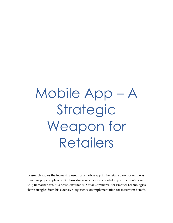# Mobile App – A Strategic Weapon for Retailers

Research shows the increasing need for a mobile app in the retail space, for online as well as physical players. But how does one ensure successful app implementation? Anuj Ramachandra, Business Consultant (Digital Commerce) for Embitel Technologies, shares insights from his extensive experience on implementation for maximum benefit.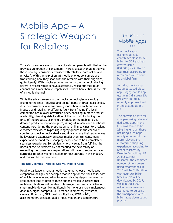# Mobile App – A Strategic Weapon for Retailers

Today's consumers are in no way closely comparable with that of the previous generation of consumers. There is a sea change in the way these new age consumers transact with retailers (both online and physical). With the help of smart mobile phones consumers are transforming how they shop with the retailers with their fingertips, quite literally! With mobile as an epicenter in the game of retailing, several physical retailers have successfully rolled out their multichannel and Omni-channel capabilities – that's how critical is the role of a mobile channel.

While the advancements in the mobile technologies are rapidly changing the retail (physical and online) game at break neck speed, it is the consumers who are driving innovation in each and every industry and retail is no different. Right from finding if a local competitor has a lower advertised price, checking in-store product availability, checking aisle location of the product, to finding the price of the products, scanning a product on the mobile to get detailed product information, price, ratings & reviews and additional content, re-ordering the prescription to re-fill medicines, to checking customer reviews, to bypassing lengthy queues in the checkout counter by checking out virtually and finally, share their experiences by leveraging extensively on social media channels, consumers expect and demand their shopping experience to be a completely seamless experience. So retailers who shy away from fulfilling the needs of their customers by not meeting the new reality of exceeding the consumer's expectations will have to sooner or later surrender to other mighty retailers or new entrants in this industry and this will be the new norm.

#### **The Big Dilemma - Mobile Web vs. Mobile Apps**

Retail organizations have an option to either choose mobile web (responsive design) or develop a mobile app for their business, both of which have inherent advantage and disadvantages. However, a little deeper look at both of these options makes us realize that mobile applications will be able to leverage the core capabilities of smart mobile devices like multitouch from one or more simultaneous gestures, digital compass, RFID reader, biometrics, gyroscope, camera, Bluetooth, GPS, push notifications, WAP, Wi-Fi, accelerometer, speakers, audio input, motion and temperature

## *The Rise of Mobile Apps*  $\bullet$   $\bullet$   $\bullet$

The mobile app economy already contributes close to \$26 billion to GDP and has created some 800,000 jobs in the 13 countries, according to a research carried out by a global firm.

In India, mobile app usage outpaced global app usage; mobile app usage in India grew 131 per cent. In 2014, monthly app download in India stood at 150 Mn+.

The conversion rate for shoppers using retailers' dedicated apps in the U.S. was found to be 21% higher than those not using such apps – mostly on account of a more relevant and customized shopping experience, according to recent research by Deloitte Consulting LLP. As per Gartner Research, the estimated number of consumers using smartphones in 2016 will be 2.16 billion, with over 268 billion times 'apps' will be downloaded by 2017, while in India 200 million consumers are estimated to be using the smartphone with 9 billion apps downloaded in 2015..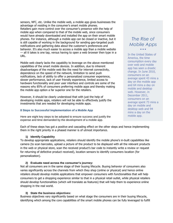sensors, NFC, etc. Unlike the mobile web, a mobile app gives businesses the advantage of residing in the consumer's smart mobile phones. Retailers gain more control over the consumer's presence with the help of mobile app when compared to that of the mobile web, since consumers would have already downloaded and installed the app on their smart mobile phones. For instance, although a mobile app can be closed or inactive, but it is still capable of working in the background for sending geo-targeted push notifications and gathering data about the customer's preferences and behavior. It's also much easier to access a mobile app than a mobile website — all it takes is one tap, versus having to open a web browser then type in a URL.

Mobile web clearly lacks the capability to leverage on the above mentioned capabilities of the smart mobile devices. In addition, due to inherent disadvantages of the mobile web like the need for internet connectivity, dependence on the speed of the network, limitation to send push notifications, lack of ability to offer a personalized consumer experience, slower performance, lack of user friendly experience, limited access to hardware functionality and poor user interface and controls are some of the reasons why 85% of consumers preferring mobile apps and thereby making the mobile app option a far superior one for the retailers.

However, it should be clearly understood that with just the help of developing mobile apps, retailers will not be able to effectively justify the investments that are needed for developing mobile apps.

#### **8 Steps to Successful Implementation of a Mobile App**

Here are eight key steps to be adopted to ensure success and justify the expense and time demanded by the development of a mobile app.

## *The Rise of Mobile Apps*  $\bullet$   $\bullet$   $\bullet$

In the United States of America, the time consumption every day over web and mobile app has seen a drastic change. In June 2010, consumers on an average spent 43 mins a day on the mobile app and 64 mins a day on mobile and desktop web. However, in December 2011, consumers on an average spent 73 mins a day on mobile and desktop web and 94 mins a day on the mobile app.

Each of these steps has got a positive and cascading effect on the other steps and hence implementing them in the right priority in a phased manner is of utmost importance.

#### **1) Identify Capability**

To develop appropriate applications, retailers should identify the mobile phone's in-built capabilities like camera (to scan barcodes, upload a picture of the product to be displayed with all the relevant products in the web or physical store, scan the received product's bar code to instantly write a review or request for returning of defective product received), location sensors to identify consumers location (for personalization).

#### **2) Evaluate need across the consumer's journey:**

Not all consumers are in the same stage of their buying lifecycle. Buying behavior of consumers also varies significantly across the channels from which they shop (online or physical) and hence online retailers should develop mobile applications that empower consumers with functionalities that will help consumers to get a shopping experience similar to that in a physical retail outlet, while physical retailers should develop functionalities (which will translate as features) that will help them to experience online shopping in the real world.

#### **3) State the business objectives:**

Business objectives vary significantly based on what stage the consumers are in their buying lifecycle, identifying which among the core capabilities of the smart mobile phones can be fully leveraged to fulfill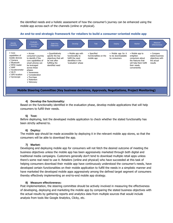the identified needs and a holistic assessment of how the consumer's journey can be enhanced using the mobile app across each of the channels (online or physical).



#### **An end-to-end strategic framework for retailers to build a consumer-oriented mobile app**

#### **4) Develop the functionality:**

Based on the functionality identified in the evaluation phase, develop mobile applications that will help consumers to fulfill their needs.

#### **5) Test:**

Before deploying, test the developed mobile application to check whether the stated functionality has been strictly adhered to.

#### **6) Deploy:**

The mobile app should be made accessible by deploying it in the relevant mobile app stores, so that the consumers will be able to download the app.

#### **7) Market:**

Developing and deploying mobile app for consumers will not fetch the desired outcome of meeting the business objectives unless the mobile app has been aggressively marketed through both digital and traditional media campaigns. Customers generally don't tend to download multiple retail apps unless there's some real need to use it. Retailers (online and physical) who have succeeded at this task of helping consumers download their mobile app have continuously understood the consumer's needs, have developed certain functionalities on their mobile application to fulfill the needs in a simplistic manner and have marketed the developed mobile apps aggressively among the defined target segment of consumers thereby effectively implementing an end-to-end mobile app strategy.

#### **8) Measure effectiveness:**

Post implementation, the steering committee should be actively involved in measuring the effectiveness of developing, deploying and marketing the mobile app by comparing the stated business objectives with the actual results by gathering reports and analytics data from multiple sources that would include analysis from tools like Google Analytics, Clicky, etc.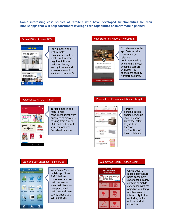**Some interesting case studies of retailers who have developed functionalities for their mobile apps that will help consumers leverage core capabilities of smart mobile phones:**

#### Virtual Fitting Room - IKEA



IKEA's mobile app feature helps consumers visualize what furniture items might look like in their own home, exactly to scale and where one would want each item to fit.

#### Personalized Offers – Target



**Target's mobile app** feature help consumers select from hundreds of discounts ranging from 5% to 50% and add them to your personalized Cartwheel barcode.

#### Near Store Notifications - Nordstrom



Nordstrom's mobile app feature helps consumers get relevant notifications – like when items in your shopping cart are available – as consumers pass by Nordstrom stores.

#### Personalized Recommendations – Target



Target's personalization engine serves up more relevant Cartwheel offers to guests in the 'For You' section of their mobile app.

#### Scan and Self-Checkout – Sam's Club



With Sam's Club mobile app 'Scan & Go' feature, customers can use their devices to scan their items as they put them in their cart and then pay by phone at a self-check-out.

#### Augmented Reality – Office Depot



Office Depot's mobile app feature helps consumers experience a highly contextual mobile experience with the objective of adding another layer of interactivity to the exclusive, limited edition product collection.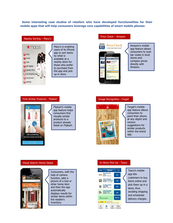**Some interesting case studies of retailers who have developed functionalities for their mobile apps that will help consumers leverage core capabilities of smart mobile phones:**



Macy's is enabling users of its iPhone app to sort items by what is available at a nearby store for those who prefer to purchase from the app and pick up in store.

#### Find Similar Products - Flipkart



Flipkart's mobile app feature helps consumers find visually similar products to a product already listed on Flipkart.

#### Price Check – Amazon



Amazon's mobile app feature allows consumers to scan bar codes in local stores and compare prices directly with Amazon.

#### Image Recognition –Target



Target's mobile app feature allows consumers to point their phone at any object and receive suggestions for similar products within the brand app.

#### Visual Search–Home Depot



Consumers, with the help of camera function, take a picture of a tool or other home item and then the app automatically displays results for similar items within the retailer's inventory.

#### In-Store Pick-Up - Tesco



Tesco's mobile app lets customers to buy items online and pick them up in a store, thus avoiding shipping and scheduled delivery charges.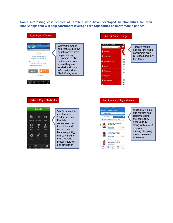**Some interesting case studies of retailers who have developed functionalities for their mobile apps that will help consumers leverage core capabilities of smart mobile phones:**



#### Order & Pay - Starbucks



| Starbuck's mobile<br>app features<br>'Order and pay'<br>that lets<br>consumers pay<br>for drinks and<br>reload their<br>balance quickly,<br>thereby making<br>the checkout<br>process quicker<br>and smoother. |
|----------------------------------------------------------------------------------------------------------------------------------------------------------------------------------------------------------------|
|                                                                                                                                                                                                                |

#### Scan QR Code - Target



Target's mobile app feature helps consumers scan QR codes and buy the items.

#### Find Items Quickly – Walmart



Walmart's mobile app feature help customers find the items they need quickly along with aisle # of product, making shopping more convenient at Walmart.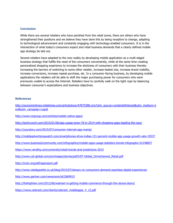#### **Conclusion**

While there are several retailers who have perished from the retail scene, there are others who have strengthened their positions and we believe they have done this by being receptive to change, adapting to technological advancement and constantly engaging with technology-enabled consumers. It is in the intersection of what today's consumers expect and retail business demands that a clearly defined mobile app strategy be laid out.

Several retailers have adapted to the new reality by developing mobile application as a multi-edged business strategy that fulfills the need of the consumers conveniently, while at the same time creating personalized shopping experience to increase the stickiness of consumers with their business thereby increasing the barriers of switching to some other retailer, increase basket size, increase brand visibility, increase conversions, increase repeat purchase, etc. In a consumer-facing business, by developing mobile applications the retailers will be able to shift the major purchasing power for consumers who were previously unable to access the Internet. Retailers have to carefully walk on the tight rope by balancing between consumer's expectations and business objectives.

#### **References**

[http://economictimes.indiatimes.com/articleshow/47875388.cms?utm\\_source=contentofinterest&utm\\_medium=t](http://economictimes.indiatimes.com/articleshow/47875388.cms?utm_source=contentofinterest&utm_medium=text&utm_campaign=cppst) [ext&utm\\_campaign=cppst](http://economictimes.indiatimes.com/articleshow/47875388.cms?utm_source=contentofinterest&utm_medium=text&utm_campaign=cppst)

- <http://www.nngroup.com/articles/mobile-native-apps/>
- <http://techcrunch.com/2015/01/06/app-usage-grew-76-in-2014-with-shopping-apps-leading-the-way/>
- <http://yourstory.com/2015/07/consumer-internet-app-mania/>
- <http://mobileadvertisingwatch.com/smartphones-drive-indias-131-percent-mobile-app-usage-growth-rate-19537>
- <http://www.business2community.com/infographics/mobile-apps-usage-statistics-trends-infographic-01248837>
- <https://www.vendhq.com/university/retail-trends-and-predictions-2015>
- [http://www.ust-global.com/en/images/stories/pdf/UST-Global\\_Omnichannel\\_Retail.pdf](http://www.ust-global.com/en/images/stories/pdf/UST-Global_Omnichannel_Retail.pdf)
- <http://icrier.org/pdf/appreport.pdf>
- <http://www.retailgazette.co.uk/blog/2015/07/always-on-consumers-demand-seamless-digital-experiences>
- <http://www.gartner.com/newsroom/id/2669915>
- <http://thehighlow.com/2012/06/walmart-is-getting-mobile-commerce-through-the-stores-doors/>
- [https://www.celerant.com/clients/celerant\\_mobileapps\\_4\\_12.pdf](https://www.celerant.com/clients/celerant_mobileapps_4_12.pdf)